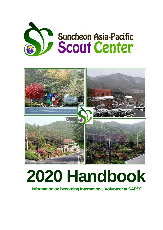



# **2020 Handbook**

**Information on becoming International Volunteer at SAPSC**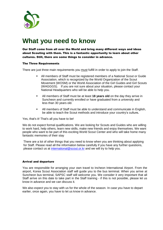

# **What you need to know**

Our Staff come from all over the World and bring many different ways and ideas about Scouting with them. This is a fantastic opportunity to learn about other cultures. Still, there are some things to consider in advance.

# The Three Requirements

There are just three main requirements you must fulfill in order to apply to join the Staff.

- All members of Staff must be registered members of a National Scout or Guide Association, which is recognized by the World Organization of the Scout Movement (WOSM) or the World Association of the Girl Guides and Girl Scouts (WAGGGS). If you are not sure about your situation, please contact your National Headquarters who will be able to help you.
- All members of Staff must be at least **18 years old** on the day they arrive in Suncheon and currently enrolled or have graduated from a university and less than 30 years old.
- All members of Staff must be able to understand and communicate in English, be able to teach the Scout methods and introduce your country's culture**.**

Yes, that's it! That's all you have to be!

We do not expect formal qualifications. We are looking for Scouts and Guides who are willing to work hard, help others, learn new skills, make new friends and enjoy themselves. We want people who want to be part of this exciting World Scout Center and who will take home many fantastic memories of their stay

There are a lot of other things that you need to know when you are thinking about applying for Staff. Please read all the information below carefully if you have any further questions, please contact us at [international@scout.or.kr](mailto:international@scout.or.kr) and we will try to help you.

#### Arrival and departure

You are responsible for arranging your own travel to Incheon International Airport. From the airport, Korea Scout Association staff will guide you to the bus terminal. When you arrive at Suncheon bus terminal, SAPSC staff will welcome you. We consider it very important that all Staff arrive on this date to take part in the Staff training - if this is not possible, please let us know in advance and we can discuss it.

We also expect you to stay with us for the whole of the season. In case you have to depart earlier, once again, you have to let us know in advance.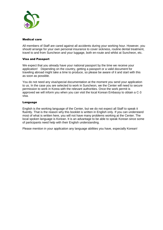

# Medical care

All members of Staff are cared against all accidents during your working hour. However, you should arrange for your own personal insurance to cover sickness, routine dental treatment, travel to and from Suncheon and your luggage, both en-route and whilst at Suncheon, etc.

# Visa and Passport

We expect that you already have your national passport by the time we receive your application! Depending on the country, getting a passport or a valid document for traveling abroad might take a time to produce, so please be aware of it and start with this as soon as possible.

You do not need any visa/special documentation at the moment you send your application to us. In the case you are selected to work in Suncheon, we the Center will need to secure permission to work in Korea with the relevant authorities. Once the work permit is approved we will inform you when you can visit the local Korean Embassy to obtain a C-3 visa.

# Language

English is the working language of the Center, but we do not expect all Staff to speak it fluently. That is the reason why this booklet is written in English only. If you can understand most of what is written here, you will not have many problems working at the Center. The local spoken language is Korean. It is an advantage to be able to speak Korean since some of participants need help with their English understanding.

Please mention in your application any language abilities you have, especially Korean!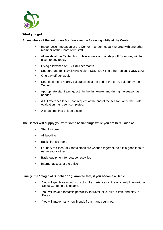

# What you get

# **All members of the voluntary Staff receive the following while at the Center:**

- **Indoor accommodation at the Center in a room usually shared with one other** member of the Short Term staff.
- All meals at the Center, both while at work and on days off (or money will be given to buy food).
- **Living allowance of USD 400 per month**
- Support fund for Travel(APR region: USD 400 / The other regions : USD 600)
- One day off per week
- Staff field trip to nearby cultural sites at the end of the term, paid for by the Center.
- **•** Appropriate staff training, both in the first weeks and during the season as needed.
- A full reference letter upon request at the end of the season, once the Staff evaluation has been completed.
- A great time in a unique place!

# **The Center will supply you with some basic things while you are here, such as:**

- **Staff Uniform**
- All bedding
- **Basic first aid items**
- **Laundry facilities (all Staff clothes are washed together, so it is a good idea to** name your clothes!)
- **Basic equipment for outdoor activities**
- **Internet access at the office**

# **Finally, the "magic of Suncheon" guarantee that, if you become a Genie…**

- You will get three months of colorful experiences at the only truly International Scout Center in this galaxy.
- You will have a fantastic possibility to travel, hike, bike, climb, and play in Korea.
- **•** You will make many new friends from many countries.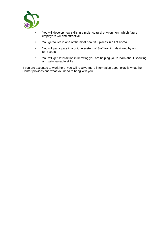

- You will develop new skills in a multi -cultural environment, which future employers will find attractive.
- **•** You get to live in one of the most beautiful places in all of Korea.
- **•** You will participate in a unique system of Staff training designed by and for Scouts.
- You will get satisfaction in knowing you are helping youth learn about Scouting and gain valuable skills.

If you are accepted to work here, you will receive more information about exactly what the Center provides and what you need to bring with you.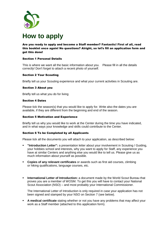

# **How to apply**

Are you ready to apply and become a Staff member? Fantastic! First of all, read this booklet once again! No questions? Alright, so let's fill an application form and get this done!

# Section 1 Personal Details

This is where we want all the basic information about you. Please fill in all the details correctly! Don't forget to attach a recent photo of yourself.

# Section 2 Your Scouting

Briefly tell us your Scouting experience and what your current activities in Scouting are.

# Section 3 About you

Briefly tell us what you do for living

# Section 4 Dates

Please tick the season(s) that you would like to apply for. Write also the dates you are available, if they are different from the beginning and end of the season.

#### Section 5 Motivation and Experience

Briefly tell us why you would like to work at the Center during the time you have indicated, and in what ways your knowledge and skills could contribute to the Center.

#### Section 6 To be Completed by all Applicants

Please tick all the documents you will attach to your application, as described below:

- **"Introduction Letter":** a presentation letter about your involvement in Scouting / Guiding, your hobbies school and interests, why you want to apply for Staff, any experience you have at similar Centers and anything else you would like to tell us. Please give us as much information about yourself as possible.
- **Copies of any relevant certificates** or awards such as first aid courses, climbing or hiking qualifications, language courses, etc.
- **International Letter of Introduction:** a document made by the World Scout Bureau that proves you are a member of WOSM. To get this you will have to contact your National Scout Association (NSO) – and most probably your International Commissioner.

The International Letter of Introduction is only required in case your application has not been signed and stamped by your NSO on Section 7 (see below).

 **A medical certificate** stating whether or not you have any problems that may affect your work as a Staff member (attached to this application form).